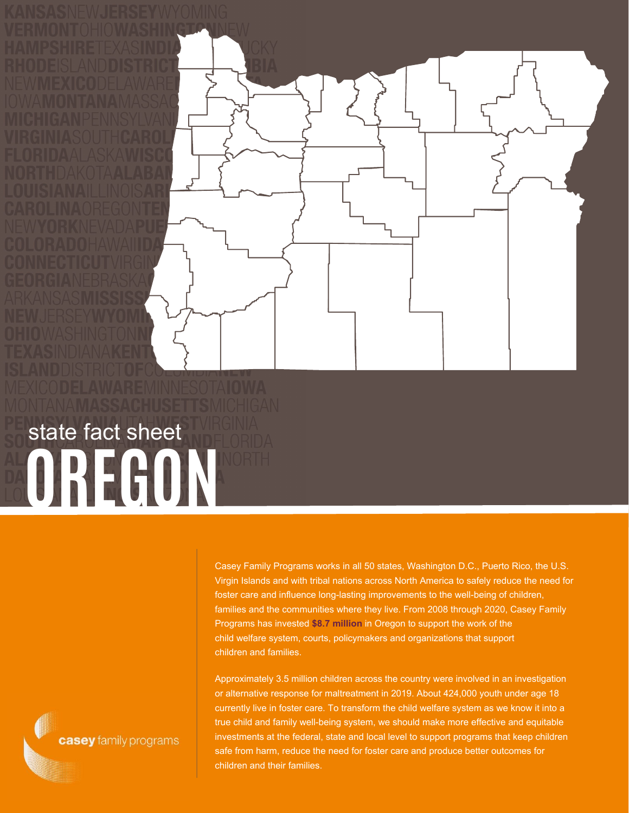

Approximately 3.5 million children across the country were involved in an investigation or alternative response for maltreatment in 2019. About 424,000 youth under age 18 currently live in foster care. To transform the child welfare system as we know it into a true child and family well-being system, we should make more effective and equitable investments at the federal, state and local level to support programs that keep children safe from harm, reduce the need for foster care and produce better outcomes for children and their families.

**OREGON** state fact sheet

casey family programs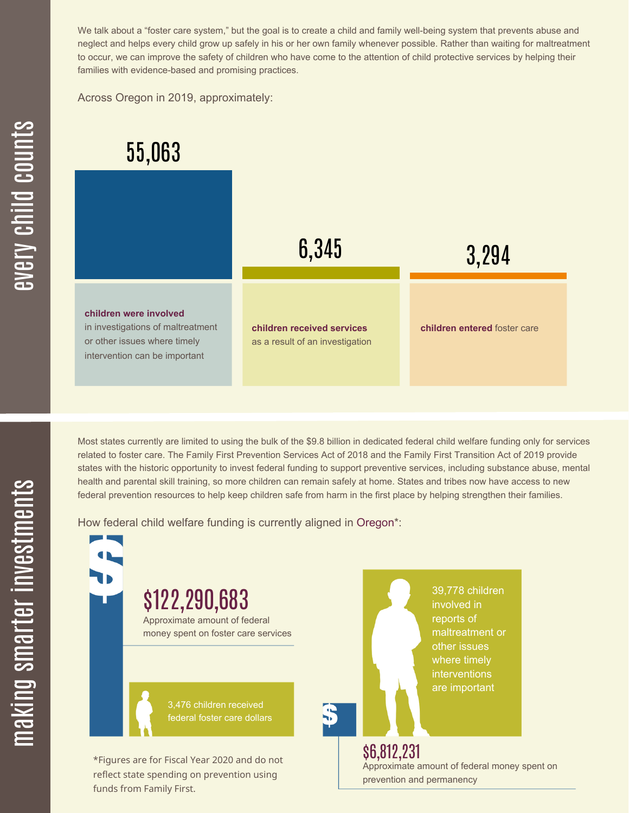We talk about a "foster care system," but the goal is to create a child and family well-being system that prevents abuse and neglect and helps every child grow up safely in his or her own family whenever possible. Rather than waiting for maltreatment to occur, we can improve the safety of children who have come to the attention of child protective services by helping their families with evidence-based and promising practices.

Across Oregon in 2019, approximately:



Most states currently are limited to using the bulk of the \$9.8 billion in dedicated federal child welfare funding only for services related to foster care. The Family First Prevention Services Act of 2018 and the Family First Transition Act of 2019 provide states with the historic opportunity to invest federal funding to support preventive services, including substance abuse, mental health and parental skill training, so more children can remain safely at home. States and tribes now have access to new federal prevention resources to help keep children safe from harm in the first place by helping strengthen their families.

How federal child welfare funding is currently aligned in Oregon\*:



 $\mathbf \Xi$ **CO** kin gs $\mathbf \Xi$ **CO** rtæ r in  $\, >$ c جا  $\mathbf \Xi$ c  $\blacksquare$ 

 $\mathbf{S}$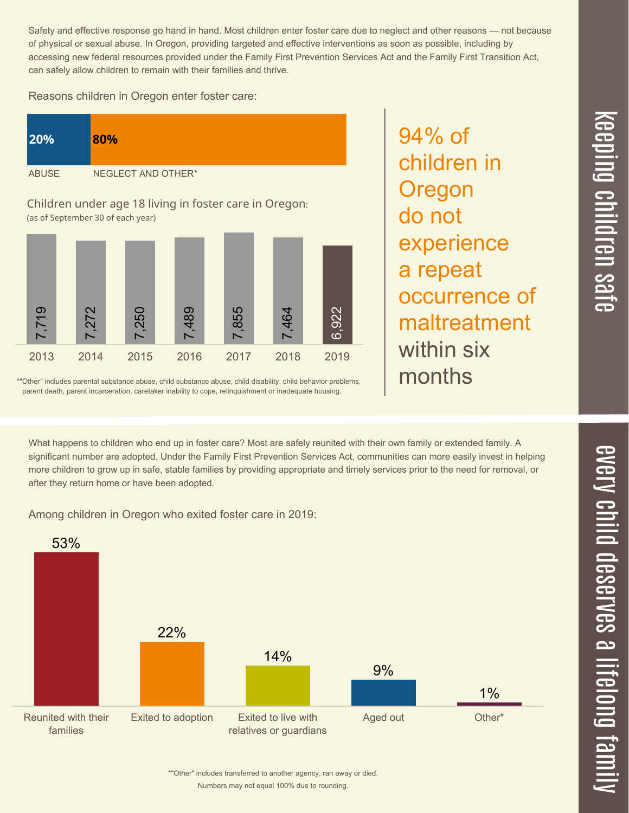Safety and effective response go hand in hand. Most children enter foster care due to neglect and other reasons — not because of physical or sexual abuse. In Oregon, providing targeted and effective interventions as soon as possible, including by accessing new federal resources provided under the Family First Prevention Services Act and the Family First Transition Act, can safely allow children to remain with their families and thrive.

Reasons children in Oregon enter foster care:



\*"Other" includes parental substance abuse, child substance abuse, child disability, child behavior problems, parent death, parent incarceration, caretaker inability to cope, relinquishment or inadequate housing.

94% of children in **Oregon** do not experience a repeat occurrence of maltreatment within six months

 $\overline{\phantom{1}}$  $\overline{\mathbf \Theta}$  $\overline{\mathbf{C}}$ <u>pin</u>  $\overline{\mathbf{C}}$  $\overline{\mathbf{C}}$  $\equiv$  $\overline{\mathbf{c}}$  $\overline{\phantom{0}}$  $\boldsymbol{\mathcal{O}}$ a  $\overrightarrow{\mathbf{e}}$ 

What happens to children who end up in foster care? Most are safely reunited with their own family or extended family. A significant number are adopted. Under the Family First Prevention Services Act, communities can more easily invest in helping more children to grow up in safe, stable families by providing appropriate and timely services prior to the need for removal, or after they return home or have been adopted.

Among children in Oregon who exited foster care in 2019:



Numbers may not equal 100% due to rounding. \*"Other" includes transferred to another agency, ran away or died.